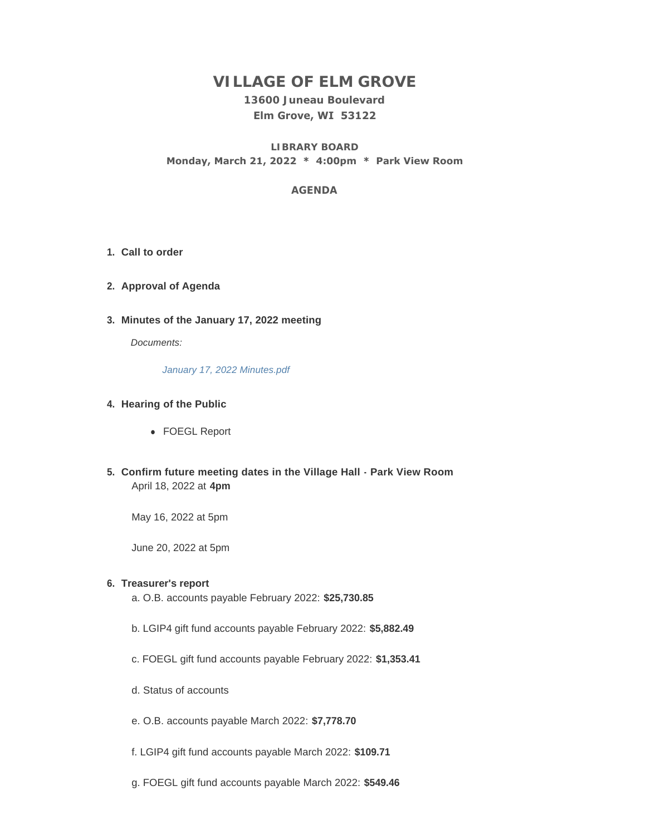# **VILLAGE OF ELM GROVE**

## **13600 Juneau Boulevard Elm Grove, WI 53122**

**LIBRARY BOARD Monday, March 21, 2022 \* 4:00pm \* Park View Room**

## **AGENDA**

- **Call to order 1.**
- **Approval of Agenda 2.**
- **Minutes of the January 17, 2022 meeting 3.**

*Documents:*

*[January 17, 2022 Minutes.pdf](https://elmgrovewi.org/AgendaCenter/ViewFile/Item/11631?fileID=18301)*

## **Hearing of the Public 4.**

- FOEGL Report
- **Confirm future meeting dates in the Village Hall Park View Room 5.** April 18, 2022 at **4pm**

May 16, 2022 at 5pm

June 20, 2022 at 5pm

## **Treasurer's report 6.**

a. O.B. accounts payable February 2022: **\$25,730.85**

- b. LGIP4 gift fund accounts payable February 2022: **\$5,882.49**
- c. FOEGL gift fund accounts payable February 2022: **\$1,353.41**
- d. Status of accounts
- e. O.B. accounts payable March 2022: **\$7,778.70**
- f. LGIP4 gift fund accounts payable March 2022: **\$109.71**
- g. FOEGL gift fund accounts payable March 2022: **\$549.46**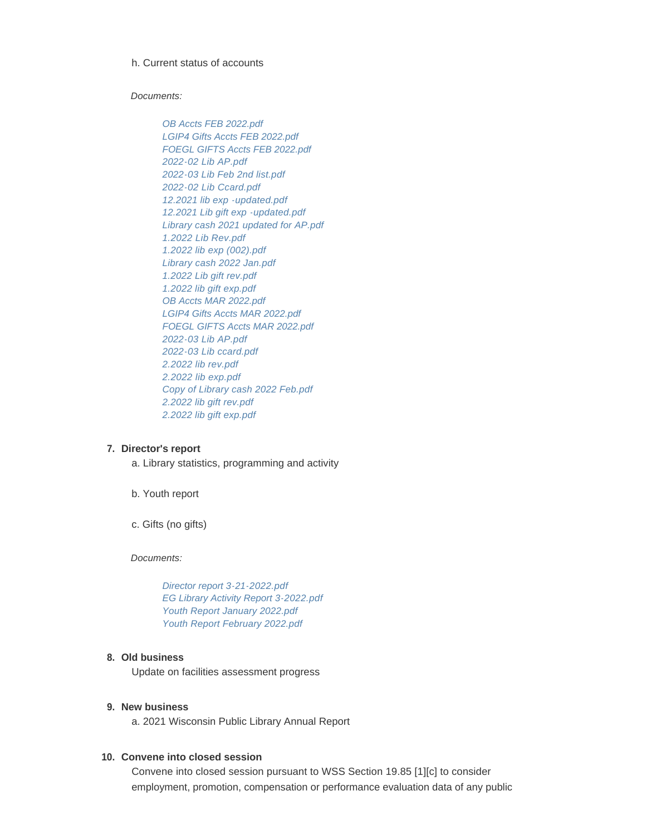#### h. Current status of accounts

#### *Documents:*

*[OB Accts FEB 2022.pdf](https://elmgrovewi.org/AgendaCenter/ViewFile/Item/11636?fileID=18307) [LGIP4 Gifts Accts FEB 2022.pdf](https://elmgrovewi.org/AgendaCenter/ViewFile/Item/11636?fileID=18308) [FOEGL GIFTS Accts FEB 2022.pdf](https://elmgrovewi.org/AgendaCenter/ViewFile/Item/11636?fileID=18309) [2022-02 Lib AP.pdf](https://elmgrovewi.org/AgendaCenter/ViewFile/Item/11636?fileID=18310) [2022-03 Lib Feb 2nd list.pdf](https://elmgrovewi.org/AgendaCenter/ViewFile/Item/11636?fileID=18311) [2022-02 Lib Ccard.pdf](https://elmgrovewi.org/AgendaCenter/ViewFile/Item/11636?fileID=18312) [12.2021 lib exp -updated.pdf](https://elmgrovewi.org/AgendaCenter/ViewFile/Item/11636?fileID=18313) [12.2021 Lib gift exp -updated.pdf](https://elmgrovewi.org/AgendaCenter/ViewFile/Item/11636?fileID=18314) [Library cash 2021 updated for AP.pdf](https://elmgrovewi.org/AgendaCenter/ViewFile/Item/11636?fileID=18315) [1.2022 Lib Rev.pdf](https://elmgrovewi.org/AgendaCenter/ViewFile/Item/11636?fileID=18316) [1.2022 lib exp \(002\).pdf](https://elmgrovewi.org/AgendaCenter/ViewFile/Item/11636?fileID=18317) [Library cash 2022 Jan.pdf](https://elmgrovewi.org/AgendaCenter/ViewFile/Item/11636?fileID=18318) [1.2022 Lib gift rev.pdf](https://elmgrovewi.org/AgendaCenter/ViewFile/Item/11636?fileID=18319) [1.2022 lib gift exp.pdf](https://elmgrovewi.org/AgendaCenter/ViewFile/Item/11636?fileID=18320) [OB Accts MAR 2022.pdf](https://elmgrovewi.org/AgendaCenter/ViewFile/Item/11636?fileID=18321) [LGIP4 Gifts Accts MAR 2022.pdf](https://elmgrovewi.org/AgendaCenter/ViewFile/Item/11636?fileID=18322) [FOEGL GIFTS Accts MAR 2022.pdf](https://elmgrovewi.org/AgendaCenter/ViewFile/Item/11636?fileID=18323) [2022-03 Lib AP.pdf](https://elmgrovewi.org/AgendaCenter/ViewFile/Item/11636?fileID=18324) [2022-03 Lib ccard.pdf](https://elmgrovewi.org/AgendaCenter/ViewFile/Item/11636?fileID=18325) [2.2022 lib rev.pdf](https://elmgrovewi.org/AgendaCenter/ViewFile/Item/11636?fileID=18326) [2.2022 lib exp.pdf](https://elmgrovewi.org/AgendaCenter/ViewFile/Item/11636?fileID=18327) [Copy of Library cash 2022 Feb.pdf](https://elmgrovewi.org/AgendaCenter/ViewFile/Item/11636?fileID=18328) [2.2022 lib gift rev.pdf](https://elmgrovewi.org/AgendaCenter/ViewFile/Item/11636?fileID=18329) [2.2022 lib gift exp.pdf](https://elmgrovewi.org/AgendaCenter/ViewFile/Item/11636?fileID=18330)*

#### **Director's report 7.**

a. Library statistics, programming and activity

b. Youth report

c. Gifts (no gifts)

*Documents:*

*[Director report 3-21-2022.pdf](https://elmgrovewi.org/AgendaCenter/ViewFile/Item/11641?fileID=18331) [EG Library Activity Report 3-2022.pdf](https://elmgrovewi.org/AgendaCenter/ViewFile/Item/11641?fileID=18332) [Youth Report January 2022.pdf](https://elmgrovewi.org/AgendaCenter/ViewFile/Item/11641?fileID=18333) [Youth Report February 2022.pdf](https://elmgrovewi.org/AgendaCenter/ViewFile/Item/11641?fileID=18334)*

#### **Old business 8.**

Update on facilities assessment progress

#### **New business 9.**

a. 2021 Wisconsin Public Library Annual Report

#### **Convene into closed session 10.**

Convene into closed session pursuant to WSS Section 19.85 [1][c] to consider employment, promotion, compensation or performance evaluation data of any public